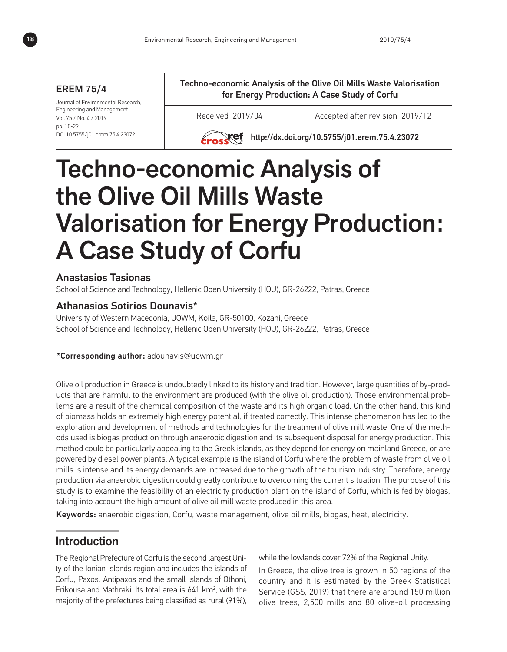#### EREM 75/4

Journal of Environmental Research, Engineering and Management Vol. 75 / No. 4 / 2019 pp. 18-29 DOI 10.5755/j01.erem.75.4.23072

Techno-economic Analysis of the Olive Oil Mills Waste Valorisation for Energy Production: A Case Study of Corfu

Received 2019/04 Accepted after revision 2019/12



**Exact http://dx.doi.org/10.5755/j01.erem.75.4.23072** 

# Techno-economic Analysis of the Olive Oil Mills Waste Valorisation for Energy Production: A Case Study of Corfu

# Anastasios Tasionas

School of Science and Technology, Hellenic Open University (HOU), GR-26222, Patras, Greece

## Athanasios Sotirios Dounavis\*

University of Western Macedonia, UOWM, Koila, GR-50100, Kozani, Greece School of Science and Technology, Hellenic Open University (HOU), GR-26222, Patras, Greece

#### \*Corresponding author: adounavis@uowm.gr

Olive oil production in Greece is undoubtedly linked to its history and tradition. However, large quantities of by-products that are harmful to the environment are produced (with the olive oil production). Those environmental problems are a result of the chemical composition of the waste and its high organic load. On the other hand, this kind of biomass holds an extremely high energy potential, if treated correctly. This intense phenomenon has led to the exploration and development of methods and technologies for the treatment of olive mill waste. One of the methods used is biogas production through anaerobic digestion and its subsequent disposal for energy production. This method could be particularly appealing to the Greek islands, as they depend for energy on mainland Greece, or are powered by diesel power plants. A typical example is the island of Corfu where the problem of waste from olive oil mills is intense and its energy demands are increased due to the growth of the tourism industry. Therefore, energy production via anaerobic digestion could greatly contribute to overcoming the current situation. The purpose of this study is to examine the feasibility of an electricity production plant on the island of Corfu, which is fed by biogas, taking into account the high amount of olive oil mill waste produced in this area.

Keywords: anaerobic digestion, Corfu, waste management, olive oil mills, biogas, heat, electricity.

# Introduction

The Regional Prefecture of Corfu is the second largest Unity of the Ionian Islands region and includes the islands of Corfu, Paxos, Antipaxos and the small islands of Othoni, Erikousa and Mathraki. Its total area is  $641 \, \text{km}^2$ , with the majority of the prefectures being classified as rural (91%),

while the lowlands cover 72% of the Regional Unity.

In Greece, the olive tree is grown in 50 regions of the country and it is estimated by the Greek Statistical Service (GSS, 2019) that there are around 150 million olive trees, 2,500 mills and 80 olive-oil processing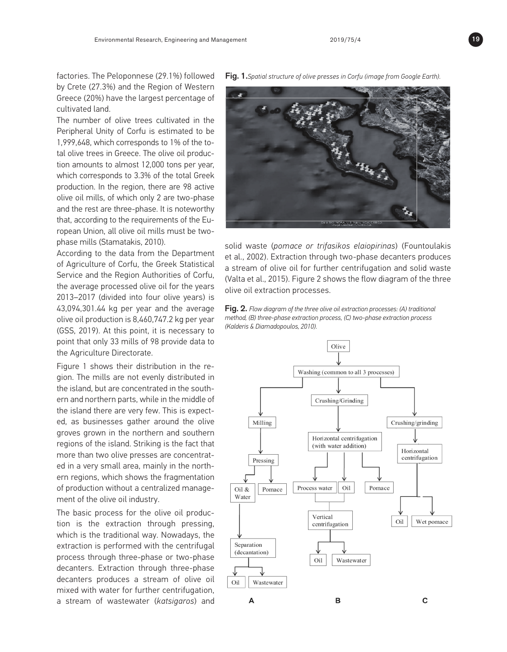factories. The Peloponnese (29.1%) followed by Crete (27.3%) and the Region of Western Greece (20%) have the largest percentage of cultivated land.

The number of olive trees cultivated in the Peripheral Unity of Corfu is estimated to be 1,999,648, which corresponds to 1% of the total olive trees in Greece. The olive oil production amounts to almost 12,000 tons per year, which corresponds to 3.3% of the total Greek production. In the region, there are 98 active olive oil mills, of which only 2 are two-phase and the rest are three-phase. It is noteworthy that, according to the requirements of the European Union, all olive oil mills must be twophase mills (Stamatakis, 2010).

According to the data from the Department of Agriculture of Corfu, the Greek Statistical Service and the Region Authorities of Corfu, the average processed olive oil for the years 2013–2017 (divided into four olive years) is 43,094,301.44 kg per year and the average olive oil production is 8,460,747.2 kg per year (GSS, 2019). At this point, it is necessary to point that only 33 mills of 98 provide data to the Agriculture Directorate.

Figure 1 shows their distribution in the region. The mills are not evenly distributed in the island, but are concentrated in the southern and northern parts, while in the middle of the island there are very few. This is expected, as businesses gather around the olive groves grown in the northern and southern regions of the island. Striking is the fact that more than two olive presses are concentrated in a very small area, mainly in the northern regions, which shows the fragmentation of production without a centralized management of the olive oil industry.

The basic process for the olive oil production is the extraction through pressing, which is the traditional way. Nowadays, the extraction is performed with the centrifugal process through three-phase or two-phase decanters. Extraction through three-phase decanters produces a stream of olive oil mixed with water for further centrifugation, a stream of wastewater (*katsigaros*) and

Fig. 1.*Spatial structure of olive presses in Corfu (image from Google Earth).*



solid waste (*pomace or trifasikos elaiopirinas*) (Fountoulakis et al., 2002). Extraction through two-phase decanters produces a stream of olive oil for further centrifugation and solid waste (Valta et al., 2015). Figure 2 shows the flow diagram of the three olive oil extraction processes.

Fig. 2. *Flow diagram of the three olive oil extraction processes: (A) traditional method, (B) three-phase extraction process, (C) two-phase extraction process (Kalderis & Diamadopoulos, 2010).*



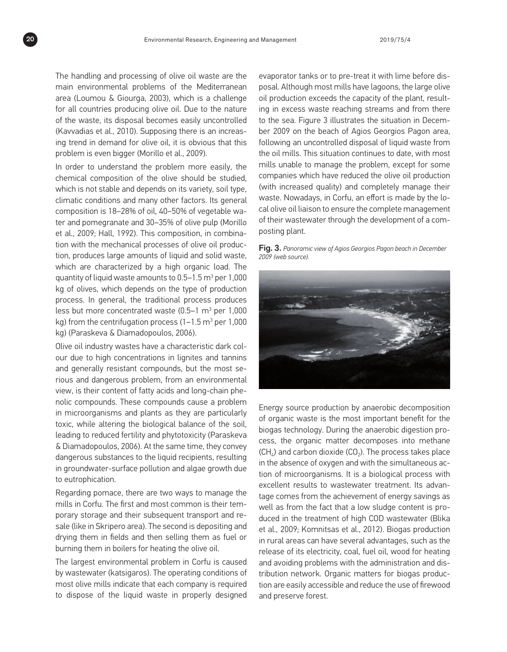The handling and processing of olive oil waste are the main environmental problems of the Mediterranean area (Loumou & Giourga, 2003), which is a challenge for all countries producing olive oil. Due to the nature of the waste, its disposal becomes easily uncontrolled (Kavvadias et al., 2010). Supposing there is an increasing trend in demand for olive oil, it is obvious that this problem is even bigger (Morillo et al., 2009).

In order to understand the problem more easily, the chemical composition of the olive should be studied, which is not stable and depends on its variety, soil type, climatic conditions and many other factors. Its general composition is 18–28% of oil, 40–50% of vegetable water and pomegranate and 30–35% of olive pulp (Morillo et al., 2009; Hall, 1992). This composition, in combination with the mechanical processes of olive oil production, produces large amounts of liquid and solid waste, which are characterized by a high organic load. The quantity of liquid waste amounts to 0.5–1.5  $\mathrm{m}^3$  per 1,000 kg of olives, which depends on the type of production process. In general, the traditional process produces less but more concentrated waste (0.5–1  $\mathrm{m}^{3}$  per 1,000 kg) from the centrifugation process (1–1.5  $\mathrm{m}^{3}$  per 1,000 kg) (Paraskeva & Diamadopoulos, 2006).

Olive oil industry wastes have a characteristic dark colour due to high concentrations in lignites and tannins and generally resistant compounds, but the most serious and dangerous problem, from an environmental view, is their content of fatty acids and long-chain phenolic compounds. These compounds cause a problem in microorganisms and plants as they are particularly toxic, while altering the biological balance of the soil, leading to reduced fertility and phytotoxicity (Paraskeva & Diamadopoulos, 2006). At the same time, they convey dangerous substances to the liquid recipients, resulting in groundwater-surface pollution and algae growth due to eutrophication.

Regarding pomace, there are two ways to manage the mills in Corfu. The first and most common is their temporary storage and their subsequent transport and resale (like in Skripero area). The second is depositing and drying them in fields and then selling them as fuel or burning them in boilers for heating the olive oil.

The largest environmental problem in Corfu is caused by wastewater (katsigaros). The operating conditions of most olive mills indicate that each company is required to dispose of the liquid waste in properly designed evaporator tanks or to pre-treat it with lime before disposal. Although most mills have lagoons, the large olive oil production exceeds the capacity of the plant, resulting in excess waste reaching streams and from there to the sea. Figure 3 illustrates the situation in December 2009 on the beach of Agios Georgios Pagon area, following an uncontrolled disposal of liquid waste from the oil mills. This situation continues to date, with most mills unable to manage the problem, except for some companies which have reduced the olive oil production (with increased quality) and completely manage their waste. Nowadays, in Corfu, an effort is made by the local olive oil liaison to ensure the complete management of their wastewater through the development of a composting plant.

Fig. 3. *Panoramic view of Agios Georgios Pagon beach in December 2009 (web source).*



Energy source production by anaerobic decomposition of organic waste is the most important benefit for the biogas technology. During the anaerobic digestion process, the organic matter decomposes into methane  $(CH<sub>4</sub>)$  and carbon dioxide  $(CO<sub>3</sub>)$ . The process takes place in the absence of oxygen and with the simultaneous action of microorganisms. It is a biological process with excellent results to wastewater treatment. Its advantage comes from the achievement of energy savings as well as from the fact that a low sludge content is produced in the treatment of high COD wastewater (Blika et al., 2009; Komnitsas et al., 2012). Biogas production in rural areas can have several advantages, such as the release of its electricity, coal, fuel oil, wood for heating and avoiding problems with the administration and distribution network. Organic matters for biogas production are easily accessible and reduce the use of firewood and preserve forest.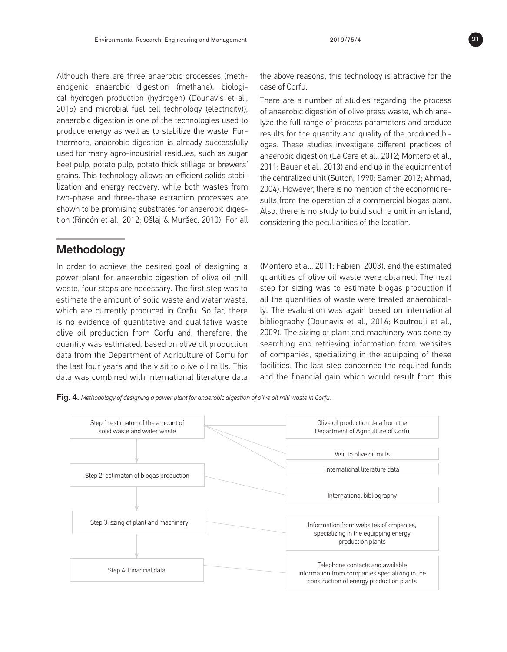Although there are three anaerobic processes (methanogenic anaerobic digestion (methane), biological hydrogen production (hydrogen) (Dounavis et al., 2015) and microbial fuel cell technology (electricity)), anaerobic digestion is one of the technologies used to produce energy as well as to stabilize the waste. Furthermore, anaerobic digestion is already successfully used for many agro-industrial residues, such as sugar beet pulp, potato pulp, potato thick stillage or brewers' grains. This technology allows an efficient solids stabilization and energy recovery, while both wastes from two-phase and three-phase extraction processes are shown to be promising substrates for anaerobic digestion (Rincón et al., 2012; Ošlaj & Muršec, 2010). For all

# Methodology

In order to achieve the desired goal of designing a power plant for anaerobic digestion of olive oil mill waste, four steps are necessary. The first step was to estimate the amount of solid waste and water waste, which are currently produced in Corfu. So far, there is no evidence of quantitative and qualitative waste olive oil production from Corfu and, therefore, the quantity was estimated, based on olive oil production data from the Department of Agriculture of Corfu for the last four years and the visit to olive oil mills. This data was combined with international literature data the above reasons, this technology is attractive for the case of Corfu.

There are a number of studies regarding the process of anaerobic digestion of olive press waste, which analyze the full range of process parameters and produce results for the quantity and quality of the produced biogas. These studies investigate different practices of anaerobic digestion (La Cara et al., 2012; Montero et al., 2011; Bauer et al., 2013) and end up in the equipment of the centralized unit (Sutton, 1990; Samer, 2012; Ahmad, 2004). However, there is no mention of the economic results from the operation of a commercial biogas plant. Also, there is no study to build such a unit in an island, considering the peculiarities of the location.

(Montero et al., 2011; Fabien, 2003), and the estimated quantities of olive oil waste were obtained. The next step for sizing was to estimate biogas production if all the quantities of waste were treated anaerobically. The evaluation was again based on international bibliography (Dounavis et al., 2016; Koutrouli et al., 2009). The sizing of plant and machinery was done by searching and retrieving information from websites of companies, specializing in the equipping of these facilities. The last step concerned the required funds and the financial gain which would result from this

Fig. 4. *Methodology of designing a power plant for anaerobic digestion of olive oil mill waste in Corfu.*



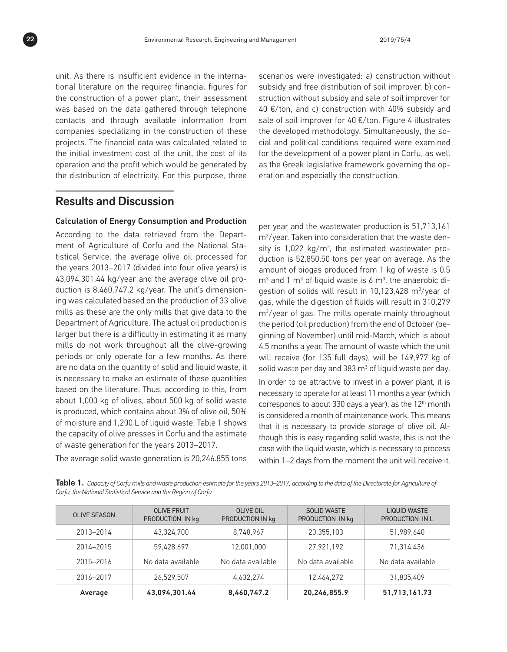unit. As there is insufficient evidence in the international literature on the required financial figures for the construction of a power plant, their assessment was based on the data gathered through telephone contacts and through available information from companies specializing in the construction of these projects. The financial data was calculated related to the initial investment cost of the unit, the cost of its operation and the profit which would be generated by the distribution of electricity. For this purpose, three scenarios were investigated: a) construction without subsidy and free distribution of soil improver, b) construction without subsidy and sale of soil improver for 40  $E$ /ton, and c) construction with 40% subsidy and sale of soil improver for 40 €/ton. Figure 4 illustrates the developed methodology. Simultaneously, the social and political conditions required were examined for the development of a power plant in Corfu, as well as the Greek legislative framework governing the operation and especially the construction.

# Results and Discussion

#### Calculation of Energy Consumption and Production

According to the data retrieved from the Department of Agriculture of Corfu and the National Statistical Service, the average olive oil processed for the years 2013–2017 (divided into four olive years) is 43,094,301.44 kg/year and the average olive oil production is 8,460,747.2 kg/year. The unit's dimensioning was calculated based on the production of 33 olive mills as these are the only mills that give data to the Department of Agriculture. The actual oil production is larger but there is a difficulty in estimating it as many mills do not work throughout all the olive-growing periods or only operate for a few months. As there are no data on the quantity of solid and liquid waste, it is necessary to make an estimate of these quantities based on the literature. Thus, according to this, from about 1,000 kg of olives, about 500 kg of solid waste is produced, which contains about 3% of olive oil, 50% of moisture and 1,200 L of liquid waste. Table 1 shows the capacity of olive presses in Corfu and the estimate of waste generation for the years 2013–2017.

The average solid waste generation is 20,246.855 tons

per year and the wastewater production is 51,713,161 m3 /year. Taken into consideration that the waste density is 1,022 kg/m<sup>3</sup>, the estimated wastewater production is 52,850.50 tons per year on average. As the amount of biogas produced from 1 kg of waste is 0.5  $m<sup>3</sup>$  and 1 m<sup>3</sup> of liquid waste is 6 m<sup>3</sup>, the anaerobic digestion of solids will result in 10,123,428 m3 /year of gas, while the digestion of fluids will result in 310,279 m3 /year of gas. The mills operate mainly throughout the period (oil production) from the end of October (beginning of November) until mid-March, which is about 4.5 months a year. The amount of waste which the unit will receive (for 135 full days), will be 149,977 kg of solid waste per day and 383  $m<sup>3</sup>$  of liquid waste per day. In order to be attractive to invest in a power plant, it is necessary to operate for at least 11 months a year (which corresponds to about 330 days a year), as the  $12<sup>th</sup>$  month is considered a month of maintenance work. This means that it is necessary to provide storage of olive oil. Although this is easy regarding solid waste, this is not the case with the liquid waste, which is necessary to process within 1–2 days from the moment the unit will receive it.

Table 1. *Capacity of Corfu mills and waste production estimate for the years 2013–2017, according to the data of the Directorate for Agriculture of Corfu, the National Statistical Service and the Region of Corfu*

| <b>OLIVE SEASON</b> | <b>OLIVE FRUIT</b><br>PRODUCTION IN kg | OLIVE OIL<br>PRODUCTION IN kg | <b>SOLID WASTE</b><br>PRODUCTION IN kg | <b>LIQUID WASTE</b><br>PRODUCTION IN L |
|---------------------|----------------------------------------|-------------------------------|----------------------------------------|----------------------------------------|
| 2013-2014           | 43,324,700                             | 8.748.967                     | 20.355.103                             | 51.989.640                             |
| 2014-2015           | 59,428,697                             | 12,001,000                    | 27.921.192                             | 71,314,436                             |
| 2015-2016           | No data available                      | No data available             | No data available                      | No data available                      |
| 2016-2017           | 26.529.507                             | 4.632.274                     | 12,464,272                             | 31,835,409                             |
| Average             | 43,094,301.44                          | 8,460,747.2                   | 20,246,855.9                           | 51,713,161.73                          |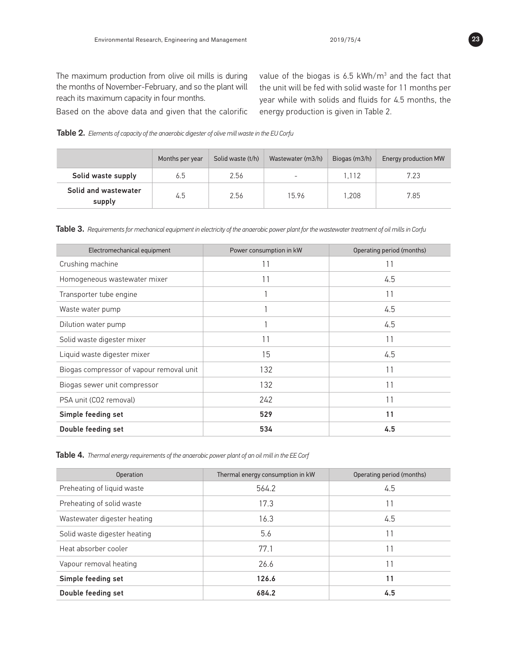Based on the above data and given that the calorific

value of the biogas is 6.5 kWh/m $^3$  and the fact that the unit will be fed with solid waste for 11 months per year while with solids and fluids for 4.5 months, the energy production is given in Table 2.

Table 2. *Elements of capacity of the anaerobic digester of olive mill waste in the EU Corfu*

|                                | Months per year | Solid waste (t/h) | Wastewater (m3/h)        | Biogas (m3/h) | Energy production MW |
|--------------------------------|-----------------|-------------------|--------------------------|---------------|----------------------|
| Solid waste supply             | 6.5             | 2.56              | $\overline{\phantom{a}}$ | 1.112         | 7.23                 |
| Solid and wastewater<br>supply | 4.5             | 2.56              | 15.96                    | 1.208         | 7.85                 |

Table 3. *Requirements for mechanical equipment in electricity of the anaerobic power plant for the wastewater treatment of oil mills in Corfu*

| Electromechanical equipment              | Power consumption in kW | Operating period (months) |  |
|------------------------------------------|-------------------------|---------------------------|--|
| Crushing machine                         | 11                      | 11                        |  |
| Homogeneous wastewater mixer             | 11                      | 4.5                       |  |
| Transporter tube engine                  |                         | 11                        |  |
| Waste water pump                         |                         | 4.5                       |  |
| Dilution water pump                      |                         | 4.5                       |  |
| Solid waste digester mixer               | 11                      | 11                        |  |
| Liquid waste digester mixer              | 15                      | 4.5                       |  |
| Biogas compressor of vapour removal unit | 132                     | 11                        |  |
| Biogas sewer unit compressor             | 132                     | 11                        |  |
| PSA unit (CO2 removal)                   | 242                     | 11                        |  |
| Simple feeding set                       | 529                     | 11                        |  |
| Double feeding set                       | 534                     | 4.5                       |  |

Table 4. *Thermal energy requirements of the anaerobic power plant of an oil mill in the EE Corf*

| Operation                    | Thermal energy consumption in kW | Operating period (months) |
|------------------------------|----------------------------------|---------------------------|
| Preheating of liquid waste   | 564.2                            | 4.5                       |
| Preheating of solid waste    | 17.3                             | 11                        |
| Wastewater digester heating  | 16.3                             | 4.5                       |
| Solid waste digester heating | 5.6                              | 11                        |
| Heat absorber cooler         | 77.1                             | 11                        |
| Vapour removal heating       | 26.6                             | 11                        |
| Simple feeding set           | 126.6                            | 11                        |
| Double feeding set           | 684.2                            | 4.5                       |

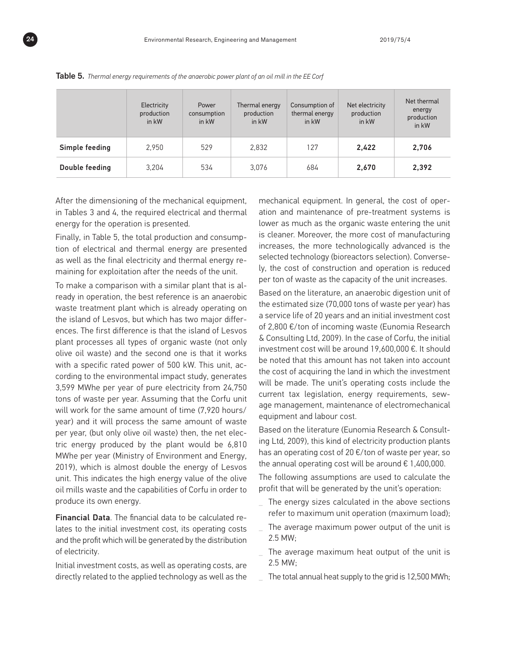|                | Electricity<br>production<br>in kW | Power<br>consumption<br>in kW | Thermal energy<br>production<br>in kW | Consumption of<br>thermal energy<br>in kW | Net electricity<br>production<br>in kW | Net thermal<br>energy<br>production<br>in kW |
|----------------|------------------------------------|-------------------------------|---------------------------------------|-------------------------------------------|----------------------------------------|----------------------------------------------|
| Simple feeding | 2.950                              | 529                           | 2.832                                 | 127                                       | 2,422                                  | 2,706                                        |
| Double feeding | 3,204                              | 534                           | 3.076                                 | 684                                       | 2,670                                  | 2,392                                        |

Table 5. *Thermal energy requirements of the anaerobic power plant of an oil mill in the EE Corf*

After the dimensioning of the mechanical equipment, in Tables 3 and 4, the required electrical and thermal energy for the operation is presented.

Finally, in Table 5, the total production and consumption of electrical and thermal energy are presented as well as the final electricity and thermal energy remaining for exploitation after the needs of the unit.

To make a comparison with a similar plant that is already in operation, the best reference is an anaerobic waste treatment plant which is already operating on the island of Lesvos, but which has two major differences. The first difference is that the island of Lesvos plant processes all types of organic waste (not only olive oil waste) and the second one is that it works with a specific rated power of 500 kW. This unit, according to the environmental impact study, generates 3,599 MWhe per year of pure electricity from 24,750 tons of waste per year. Assuming that the Corfu unit will work for the same amount of time (7,920 hours/ year) and it will process the same amount of waste per year, (but only olive oil waste) then, the net electric energy produced by the plant would be 6,810 MWhe per year (Ministry of Environment and Energy, 2019), which is almost double the energy of Lesvos unit. This indicates the high energy value of the olive oil mills waste and the capabilities of Corfu in order to produce its own energy.

Financial Data. The financial data to be calculated relates to the initial investment cost, its operating costs and the profit which will be generated by the distribution of electricity.

Initial investment costs, as well as operating costs, are directly related to the applied technology as well as the mechanical equipment. In general, the cost of operation and maintenance of pre-treatment systems is lower as much as the organic waste entering the unit is cleaner. Moreover, the more cost of manufacturing increases, the more technologically advanced is the selected technology (bioreactors selection). Conversely, the cost of construction and operation is reduced per ton of waste as the capacity of the unit increases.

Based on the literature, an anaerobic digestion unit of the estimated size (70,000 tons of waste per year) has a service life of 20 years and an initial investment cost of 2,800 €/ton of incoming waste (Eunomia Research & Consulting Ltd, 2009). In the case of Corfu, the initial investment cost will be around 19,600,000 €. It should be noted that this amount has not taken into account the cost of acquiring the land in which the investment will be made. The unit's operating costs include the current tax legislation, energy requirements, sewage management, maintenance of electromechanical equipment and labour cost.

Based on the literature (Eunomia Research & Consulting Ltd, 2009), this kind of electricity production plants has an operating cost of 20 €/ton of waste per year, so the annual operating cost will be around  $\epsilon$  1,400,000.

The following assumptions are used to calculate the profit that will be generated by the unit's operation:

- **\_** The energy sizes calculated in the above sections refer to maximum unit operation (maximum load);
- **\_** The average maximum power output of the unit is 2.5 MW;
- **\_** The average maximum heat output of the unit is 2.5 MW;
- **\_** The total annual heat supply to the grid is 12,500 MWh;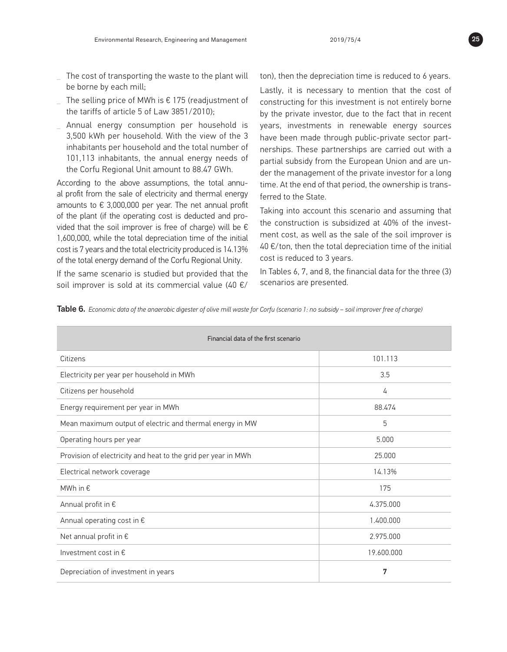- **\_** The cost of transporting the waste to the plant will be borne by each mill;
- **\_** The selling price of MWh is € 175 (readjustment of the tariffs of article 5 of Law 3851/2010);
- **\_** Annual energy consumption per household is 3,500 kWh per household. With the view of the 3 inhabitants per household and the total number of 101,113 inhabitants, the annual energy needs of the Corfu Regional Unit amount to 88.47 GWh.

According to the above assumptions, the total annual profit from the sale of electricity and thermal energy amounts to  $\epsilon$  3,000,000 per year. The net annual profit of the plant (if the operating cost is deducted and provided that the soil improver is free of charge) will be  $\epsilon$ 1,600,000, while the total depreciation time of the initial cost is 7 years and the total electricity produced is 14.13% of the total energy demand of the Corfu Regional Unity.

If the same scenario is studied but provided that the soil improver is sold at its commercial value (40  $\varepsilon$ /

ton), then the depreciation time is reduced to 6 years.

Lastly, it is necessary to mention that the cost of constructing for this investment is not entirely borne by the private investor, due to the fact that in recent years, investments in renewable energy sources have been made through public-private sector partnerships. These partnerships are carried out with a partial subsidy from the European Union and are under the management of the private investor for a long time. At the end of that period, the ownership is transferred to the State.

Taking into account this scenario and assuming that the construction is subsidized at 40% of the investment cost, as well as the sale of the soil improver is 40 €/ton, then the total depreciation time of the initial cost is reduced to 3 years.

In Tables 6, 7, and 8, the financial data for the three (3) scenarios are presented.

Table 6. *Economic data of the anaerobic digester of olive mill waste for Corfu (scenario 1: no subsidy – soil improver free of charge)*

| Financial data of the first scenario                          |            |  |  |  |
|---------------------------------------------------------------|------------|--|--|--|
| Citizens                                                      | 101.113    |  |  |  |
| Electricity per year per household in MWh                     | 3.5        |  |  |  |
| Citizens per household                                        | 4          |  |  |  |
| Energy requirement per year in MWh                            | 88.474     |  |  |  |
| Mean maximum output of electric and thermal energy in MW      | 5          |  |  |  |
| Operating hours per year                                      | 5.000      |  |  |  |
| Provision of electricity and heat to the grid per year in MWh | 25.000     |  |  |  |
| Electrical network coverage                                   | 14.13%     |  |  |  |
| MWh in €                                                      | 175        |  |  |  |
| Annual profit in €                                            | 4.375.000  |  |  |  |
| Annual operating cost in $\epsilon$                           | 1.400.000  |  |  |  |
| Net annual profit in $\epsilon$                               | 2.975.000  |  |  |  |
| Investment cost in $\epsilon$                                 | 19.600.000 |  |  |  |
| Depreciation of investment in years                           | 7          |  |  |  |

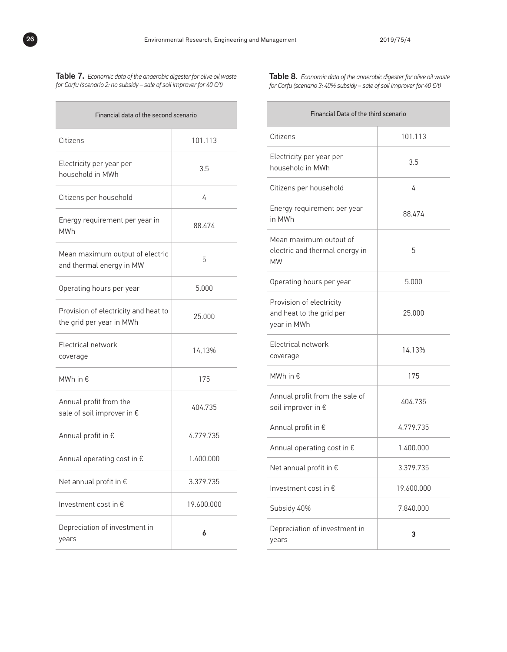**STATISTICS** 

Table 7. *Economic data of the anaerobic digester for olive oil waste for Corfu (scenario 2: no subsidy – sale of soil improver for 40 €/t)*

| Financial data of the second scenario                            |            |  |  |  |
|------------------------------------------------------------------|------------|--|--|--|
| Citizens                                                         | 101.113    |  |  |  |
| Electricity per year per<br>household in MWh                     | 3.5        |  |  |  |
| Citizens per household                                           | 4          |  |  |  |
| Energy requirement per year in<br><b>MWh</b>                     | 88.474     |  |  |  |
| Mean maximum output of electric<br>and thermal energy in MW      | 5          |  |  |  |
| Operating hours per year                                         | 5.000      |  |  |  |
| Provision of electricity and heat to<br>the grid per year in MWh | 25.000     |  |  |  |
| Electrical network<br>coverage                                   | 14.13%     |  |  |  |
| MWh in €                                                         | 175        |  |  |  |
| Annual profit from the<br>sale of soil improver in €             | 404.735    |  |  |  |
| Annual profit in €                                               | 4.779.735  |  |  |  |
| Annual operating cost in €                                       | 1.400.000  |  |  |  |
| Net annual profit in $\epsilon$                                  | 3.379.735  |  |  |  |
| Investment cost in $\epsilon$                                    | 19.600.000 |  |  |  |
| Depreciation of investment in<br>years                           | 6          |  |  |  |

Table 8. *Economic data of the anaerobic digester for olive oil waste for Corfu (scenario 3: 40% subsidy – sale of soil improver for 40 €/t)*

| Financial Data of the third scenario                                  |            |  |  |
|-----------------------------------------------------------------------|------------|--|--|
| Citizens                                                              | 101.113    |  |  |
| Electricity per year per<br>household in MWh                          | 3.5        |  |  |
| Citizens per household                                                | 4          |  |  |
| Energy requirement per year<br>in MWh                                 | 88.474     |  |  |
| Mean maximum output of<br>electric and thermal energy in<br><b>MW</b> | 5          |  |  |
| Operating hours per year                                              | 5.000      |  |  |
| Provision of electricity<br>and heat to the grid per<br>year in MWh   | 25.000     |  |  |
| Electrical network<br>coverage                                        | 14.13%     |  |  |
| MWh in $\epsilon$                                                     | 175        |  |  |
| Annual profit from the sale of<br>soil improver in $\epsilon$         | 404.735    |  |  |
| Annual profit in $\epsilon$                                           | 4.779.735  |  |  |
| Annual operating cost in €                                            | 1.400.000  |  |  |
| Net annual profit in $\epsilon$                                       | 3.379.735  |  |  |
| Investment cost in $\epsilon$                                         | 19.600.000 |  |  |
| Subsidy 40%                                                           | 7.840.000  |  |  |
| Depreciation of investment in<br>years                                | 3          |  |  |



 $\overline{\phantom{a}}$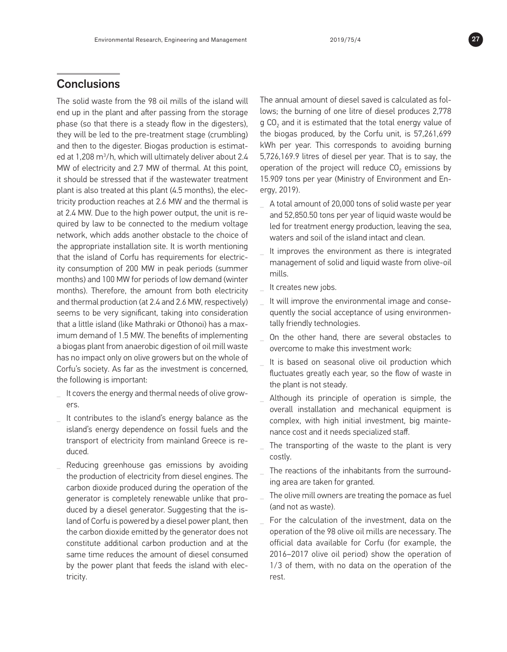# **Conclusions**

The solid waste from the 98 oil mills of the island will end up in the plant and after passing from the storage phase (so that there is a steady flow in the digesters), they will be led to the pre-treatment stage (crumbling) and then to the digester. Biogas production is estimated at 1,208 m3 /h, which will ultimately deliver about 2.4 MW of electricity and 2.7 MW of thermal. At this point, it should be stressed that if the wastewater treatment plant is also treated at this plant (4.5 months), the electricity production reaches at 2.6 MW and the thermal is at 2.4 MW. Due to the high power output, the unit is required by law to be connected to the medium voltage network, which adds another obstacle to the choice of the appropriate installation site. It is worth mentioning that the island of Corfu has requirements for electricity consumption of 200 MW in peak periods (summer months) and 100 MW for periods of low demand (winter months). Therefore, the amount from both electricity and thermal production (at 2.4 and 2.6 MW, respectively) seems to be very significant, taking into consideration that a little island (like Mathraki or Othonoi) has a maximum demand of 1.5 MW. The benefits of implementing a biogas plant from anaerobic digestion of oil mill waste has no impact only on olive growers but on the whole of Corfu's society. As far as the investment is concerned, the following is important:

- **\_** It covers the energy and thermal needs of olive growers.
- **\_** It contributes to the island's energy balance as the island's energy dependence on fossil fuels and the transport of electricity from mainland Greece is reduced.
- **\_** Reducing greenhouse gas emissions by avoiding the production of electricity from diesel engines. The carbon dioxide produced during the operation of the generator is completely renewable unlike that produced by a diesel generator. Suggesting that the island of Corfu is powered by a diesel power plant, then the carbon dioxide emitted by the generator does not constitute additional carbon production and at the same time reduces the amount of diesel consumed by the power plant that feeds the island with electricity.

The annual amount of diesel saved is calculated as follows; the burning of one litre of diesel produces 2,778  $g$  CO<sub>2</sub> and it is estimated that the total energy value of the biogas produced, by the Corfu unit, is 57,261,699 kWh per year. This corresponds to avoiding burning 5,726,169.9 litres of diesel per year. That is to say, the operation of the project will reduce  $CO<sub>2</sub>$  emissions by 15.909 tons per year (Ministry of Environment and Energy, 2019).

- **\_** A total amount of 20,000 tons of solid waste per year and 52,850.50 tons per year of liquid waste would be led for treatment energy production, leaving the sea, waters and soil of the island intact and clean.
- **\_** It improves the environment as there is integrated management of solid and liquid waste from olive-oil mills.
- **\_** It creates new jobs.
- **\_** It will improve the environmental image and consequently the social acceptance of using environmentally friendly technologies.
- **\_** On the other hand, there are several obstacles to overcome to make this investment work:
- **\_** It is based on seasonal olive oil production which fluctuates greatly each year, so the flow of waste in the plant is not steady.
- **\_** Although its principle of operation is simple, the overall installation and mechanical equipment is complex, with high initial investment, big maintenance cost and it needs specialized staff.
- **\_** The transporting of the waste to the plant is very costly.
- **\_** The reactions of the inhabitants from the surrounding area are taken for granted.
- **\_** The olive mill owners are treating the pomace as fuel (and not as waste).
- **\_** For the calculation of the investment, data on the operation of the 98 olive oil mills are necessary. The official data available for Corfu (for example, the 2016–2017 olive oil period) show the operation of 1/3 of them, with no data on the operation of the rest.

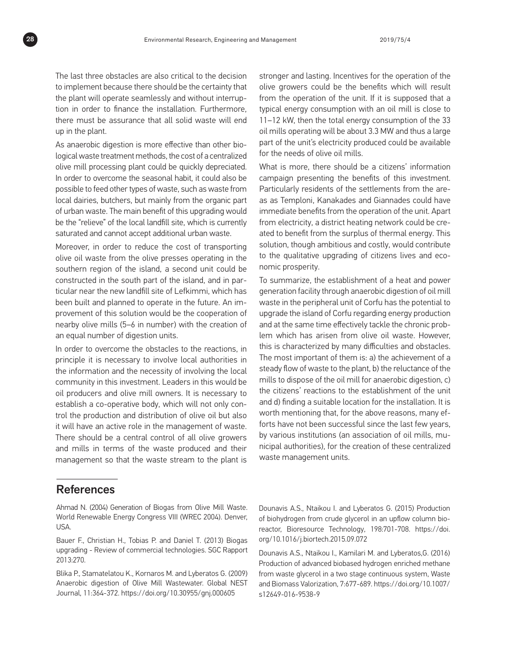The last three obstacles are also critical to the decision to implement because there should be the certainty that the plant will operate seamlessly and without interruption in order to finance the installation. Furthermore, there must be assurance that all solid waste will end up in the plant.

As anaerobic digestion is more effective than other biological waste treatment methods, the cost of a centralized olive mill processing plant could be quickly depreciated. In order to overcome the seasonal habit, it could also be possible to feed other types of waste, such as waste from local dairies, butchers, but mainly from the organic part of urban waste. The main benefit of this upgrading would be the "relieve" of the local landfill site, which is currently saturated and cannot accept additional urban waste.

Moreover, in order to reduce the cost of transporting olive oil waste from the olive presses operating in the southern region of the island, a second unit could be constructed in the south part of the island, and in particular near the new landfill site of Lefkimmi, which has been built and planned to operate in the future. An improvement of this solution would be the cooperation of nearby olive mills (5–6 in number) with the creation of an equal number of digestion units.

In order to overcome the obstacles to the reactions, in principle it is necessary to involve local authorities in the information and the necessity of involving the local community in this investment. Leaders in this would be oil producers and olive mill owners. It is necessary to establish a co-operative body, which will not only control the production and distribution of olive oil but also it will have an active role in the management of waste. There should be a central control of all olive growers and mills in terms of the waste produced and their management so that the waste stream to the plant is stronger and lasting. Incentives for the operation of the olive growers could be the benefits which will result from the operation of the unit. If it is supposed that a typical energy consumption with an oil mill is close to 11–12 kW, then the total energy consumption of the 33 oil mills operating will be about 3.3 MW and thus a large part of the unit's electricity produced could be available for the needs of olive oil mills.

What is more, there should be a citizens' information campaign presenting the benefits of this investment. Particularly residents of the settlements from the areas as Temploni, Kanakades and Giannades could have immediate benefits from the operation of the unit. Apart from electricity, a district heating network could be created to benefit from the surplus of thermal energy. This solution, though ambitious and costly, would contribute to the qualitative upgrading of citizens lives and economic prosperity.

To summarize, the establishment of a heat and power generation facility through anaerobic digestion of oil mill waste in the peripheral unit of Corfu has the potential to upgrade the island of Corfu regarding energy production and at the same time effectively tackle the chronic problem which has arisen from olive oil waste. However, this is characterized by many difficulties and obstacles. The most important of them is: a) the achievement of a steady flow of waste to the plant, b) the reluctance of the mills to dispose of the oil mill for anaerobic digestion, c) the citizens' reactions to the establishment of the unit and d) finding a suitable location for the installation. It is worth mentioning that, for the above reasons, many efforts have not been successful since the last few years, by various institutions (an association of oil mills, municipal authorities), for the creation of these centralized waste management units.

### References

Ahmad N. (2004) Generation of Biogas from Olive Mill Waste. World Renewable Energy Congress VIII (WREC 2004). Denver, USA.

Bauer F., Christian H., Tobias P. and Daniel T. (2013) Biogas upgrading - Review of commercial technologies. SGC Rapport 2013:270.

Blika P., Stamatelatou K., Kornaros M. and Lyberatos G. (2009) Anaerobic digestion of Olive Mill Wastewater. Global NEST Journal, 11:364-372. https://doi.org/10.30955/gnj.000605

Dounavis A.S., Ntaikou I. and Lyberatos G. (2015) Production of biohydrogen from crude glycerol in an upflow column bioreactor, Bioresource Technology, 198:701-708. https://doi. org/10.1016/j.biortech.2015.09.072

Dounavis A.S., Ntaikou I., Kamilari M. and Lyberatos,G. (2016) Production of advanced biobased hydrogen enriched methane from waste glycerol in a two stage continuous system, Waste and Biomass Valorization, 7:677-689. https://doi.org/10.1007/ s12649-016-9538-9